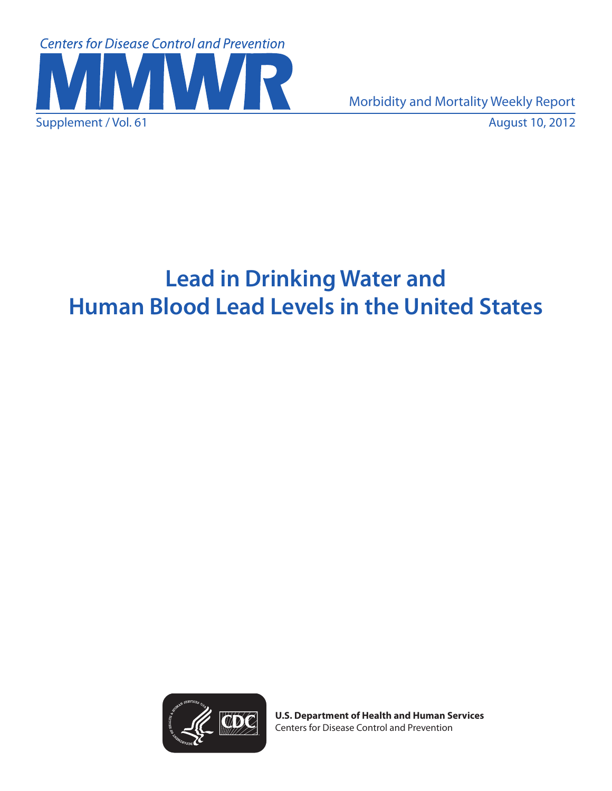

Supplement / Vol. 61 August 10, 2012 Morbidity and Mortality Weekly Report

# **Lead in Drinking Water and Human Blood Lead Levels in the United States**



**U.S. Department of Health and Human Services** Centers for Disease Control and Prevention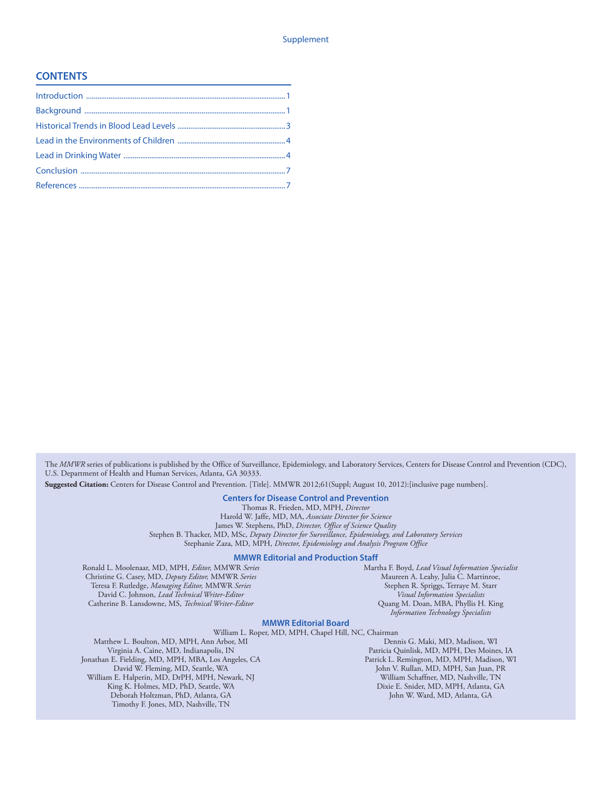#### **CONTENTS**

The *MMWR* series of publications is published by the Office of Surveillance, Epidemiology, and Laboratory Services, Centers for Disease Control and Prevention (CDC), U.S. Department of Health and Human Services, Atlanta, GA 30333.

**Suggested Citation:** Centers for Disease Control and Prevention. [Title]. MMWR 2012;61(Suppl; August 10, 2012):[inclusive page numbers].

#### **Centers for Disease Control and Prevention**

Thomas R. Frieden, MD, MPH, *Director*

Harold W. Jaffe, MD, MA, *Associate Director for Science* James W. Stephens, PhD, *Director, Office of Science Quality*

Stephen B. Thacker, MD, MSc, *Deputy Director for Surveillance, Epidemiology, and Laboratory Services* Stephanie Zaza, MD, MPH, *Director, Epidemiology and Analysis Program Office*

#### **MMWR Editorial and Production Staff**

Ronald L. Moolenaar, MD, MPH, *Editor,* MMWR *Series* Christine G. Casey, MD, *Deputy Editor,* MMWR *Series* Teresa F. Rutledge, *Managing Editor,* MMWR *Series* David C. Johnson, *Lead Technical Writer-Editor* Catherine B. Lansdowne, MS, *Technical Writer-Editor*

Martha F. Boyd, *Lead Visual Information Specialist* Maureen A. Leahy, Julia C. Martinroe, Stephen R. Spriggs, Terraye M. Starr *Visual Information Specialists* Quang M. Doan, MBA, Phyllis H. King *Information Technology Specialists*

#### **MMWR Editorial Board**

William L. Roper, MD, MPH, Chapel Hill, NC, Chairman Matthew L. Boulton, MD, MPH, Ann Arbor, MI Virginia A. Caine, MD, Indianapolis, IN Jonathan E. Fielding, MD, MPH, MBA, Los Angeles, CA David W. Fleming, MD, Seattle, WA William E. Halperin, MD, DrPH, MPH, Newark, NJ King K. Holmes, MD, PhD, Seattle, WA Deborah Holtzman, PhD, Atlanta, GA Timothy F. Jones, MD, Nashville, TN

Dennis G. Maki, MD, Madison, WI Patricia Quinlisk, MD, MPH, Des Moines, IA Patrick L. Remington, MD, MPH, Madison, WI John V. Rullan, MD, MPH, San Juan, PR William Schaffner, MD, Nashville, TN Dixie E. Snider, MD, MPH, Atlanta, GA John W. Ward, MD, Atlanta, GA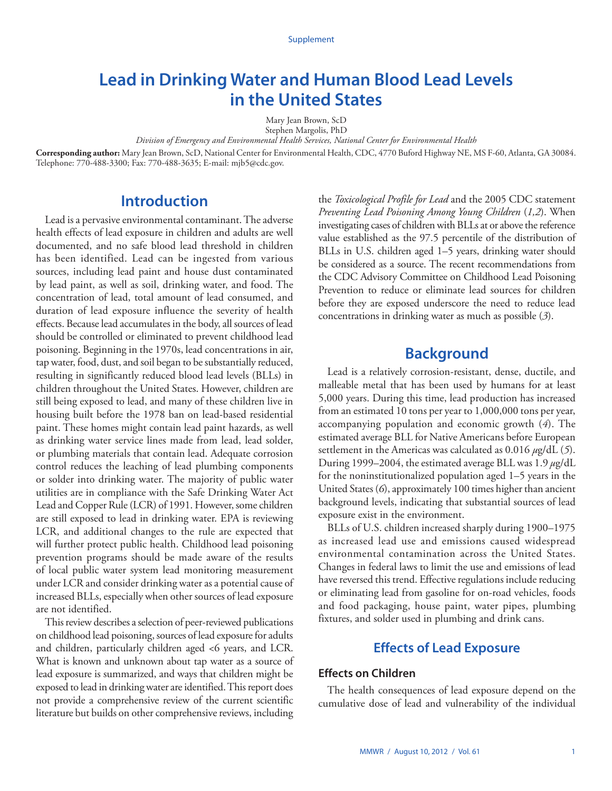# <span id="page-2-0"></span>**Lead in Drinking Water and Human Blood Lead Levels in the United States**

Mary Jean Brown, ScD

Stephen Margolis, PhD *Division of Emergency and Environmental Health Services, National Center for Environmental Health* 

**Corresponding author:** Mary Jean Brown, ScD, National Center for Environmental Health, CDC, 4770 Buford Highway NE, MS F-60, Atlanta, GA 30084. Telephone: 770-488-3300; Fax: 770-488-3635; E-mail: [mjb5@cdc.gov](mailto:mjb5@cdc.gov).

# **Introduction**

Lead is a pervasive environmental contaminant. The adverse health effects of lead exposure in children and adults are well documented, and no safe blood lead threshold in children has been identified. Lead can be ingested from various sources, including lead paint and house dust contaminated by lead paint, as well as soil, drinking water, and food. The concentration of lead, total amount of lead consumed, and duration of lead exposure influence the severity of health effects. Because lead accumulates in the body, all sources of lead should be controlled or eliminated to prevent childhood lead poisoning. Beginning in the 1970s, lead concentrations in air, tap water, food, dust, and soil began to be substantially reduced, resulting in significantly reduced blood lead levels (BLLs) in children throughout the United States. However, children are still being exposed to lead, and many of these children live in housing built before the 1978 ban on lead-based residential paint. These homes might contain lead paint hazards, as well as drinking water service lines made from lead, lead solder, or plumbing materials that contain lead. Adequate corrosion control reduces the leaching of lead plumbing components or solder into drinking water. The majority of public water utilities are in compliance with the Safe Drinking Water Act Lead and Copper Rule (LCR) of 1991. However, some children are still exposed to lead in drinking water. EPA is reviewing LCR, and additional changes to the rule are expected that will further protect public health. Childhood lead poisoning prevention programs should be made aware of the results of local public water system lead monitoring measurement under LCR and consider drinking water as a potential cause of increased BLLs, especially when other sources of lead exposure are not identified.

This review describes a selection of peer-reviewed publications on childhood lead poisoning, sources of lead exposure for adults and children, particularly children aged <6 years, and LCR. What is known and unknown about tap water as a source of lead exposure is summarized, and ways that children might be exposed to lead in drinking water are identified. This report does not provide a comprehensive review of the current scientific literature but builds on other comprehensive reviews, including

the *Toxicological Profile for Lead* and the 2005 CDC statement *Preventing Lead Poisoning Among Young Children* (*1,2*). When investigating cases of children with BLLs at or above the reference value established as the 97.5 percentile of the distribution of BLLs in U.S. children aged 1–5 years, drinking water should be considered as a source. The recent recommendations from the CDC Advisory Committee on Childhood Lead Poisoning Prevention to reduce or eliminate lead sources for children before they are exposed underscore the need to reduce lead concentrations in drinking water as much as possible (*3*).

# **Background**

Lead is a relatively corrosion-resistant, dense, ductile, and malleable metal that has been used by humans for at least 5,000 years. During this time, lead production has increased from an estimated 10 tons per year to 1,000,000 tons per year, accompanying population and economic growth (*4*). The estimated average BLL for Native Americans before European settlement in the Americas was calculated as 0.016 *µ*g/dL (*5*). During 1999–2004, the estimated average BLL was 1.9 *µ*g/dL for the noninstitutionalized population aged 1–5 years in the United States (*6*), approximately 100 times higher than ancient background levels, indicating that substantial sources of lead exposure exist in the environment.

BLLs of U.S. children increased sharply during 1900–1975 as increased lead use and emissions caused widespread environmental contamination across the United States. Changes in federal laws to limit the use and emissions of lead have reversed this trend. Effective regulations include reducing or eliminating lead from gasoline for on-road vehicles, foods and food packaging, house paint, water pipes, plumbing fixtures, and solder used in plumbing and drink cans.

## **Effects of Lead Exposure**

### **Effects on Children**

The health consequences of lead exposure depend on the cumulative dose of lead and vulnerability of the individual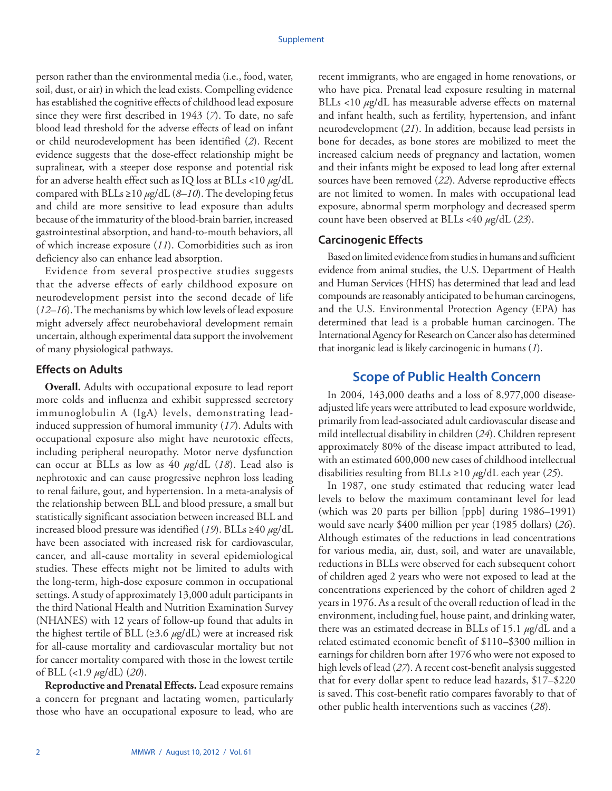person rather than the environmental media (i.e., food, water, soil, dust, or air) in which the lead exists. Compelling evidence has established the cognitive effects of childhood lead exposure since they were first described in 1943 (*7*). To date, no safe blood lead threshold for the adverse effects of lead on infant or child neurodevelopment has been identified (*2*). Recent evidence suggests that the dose-effect relationship might be supralinear, with a steeper dose response and potential risk for an adverse health effect such as IQ loss at BLLs <10 *µ*g/dL compared with BLLs ≥10 *µ*g/dL (*8–10*). The developing fetus and child are more sensitive to lead exposure than adults because of the immaturity of the blood-brain barrier, increased gastrointestinal absorption, and hand-to-mouth behaviors, all of which increase exposure (*11*). Comorbidities such as iron deficiency also can enhance lead absorption.

Evidence from several prospective studies suggests that the adverse effects of early childhood exposure on neurodevelopment persist into the second decade of life (*12–16*). The mechanisms by which low levels of lead exposure might adversely affect neurobehavioral development remain uncertain, although experimental data support the involvement of many physiological pathways.

### **Effects on Adults**

**Overall.** Adults with occupational exposure to lead report more colds and influenza and exhibit suppressed secretory immunoglobulin A (IgA) levels, demonstrating leadinduced suppression of humoral immunity (*17*). Adults with occupational exposure also might have neurotoxic effects, including peripheral neuropathy. Motor nerve dysfunction can occur at BLLs as low as 40 *µ*g/dL (*18*). Lead also is nephrotoxic and can cause progressive nephron loss leading to renal failure, gout, and hypertension. In a meta-analysis of the relationship between BLL and blood pressure, a small but statistically significant association between increased BLL and increased blood pressure was identified (*19*). BLLs ≥40 *µ*g/dL have been associated with increased risk for cardiovascular, cancer, and all-cause mortality in several epidemiological studies. These effects might not be limited to adults with the long-term, high-dose exposure common in occupational settings. A study of approximately 13,000 adult participants in the third National Health and Nutrition Examination Survey (NHANES) with 12 years of follow-up found that adults in the highest tertile of BLL ( $\geq$ 3.6  $\mu$ g/dL) were at increased risk for all-cause mortality and cardiovascular mortality but not for cancer mortality compared with those in the lowest tertile of BLL (<1.9 *µ*g/dL) (*20*).

**Reproductive and Prenatal Effects.** Lead exposure remains a concern for pregnant and lactating women, particularly those who have an occupational exposure to lead, who are

recent immigrants, who are engaged in home renovations, or who have pica. Prenatal lead exposure resulting in maternal BLLs <10  $\mu$ g/dL has measurable adverse effects on maternal and infant health, such as fertility, hypertension, and infant neurodevelopment (*21*). In addition, because lead persists in bone for decades, as bone stores are mobilized to meet the increased calcium needs of pregnancy and lactation, women and their infants might be exposed to lead long after external sources have been removed (*22*). Adverse reproductive effects are not limited to women. In males with occupational lead exposure, abnormal sperm morphology and decreased sperm count have been observed at BLLs <40 *µ*g/dL (*23*).

#### **Carcinogenic Effects**

Based on limited evidence from studies in humans and sufficient evidence from animal studies, the U.S. Department of Health and Human Services (HHS) has determined that lead and lead compounds are reasonably anticipated to be human carcinogens, and the U.S. Environmental Protection Agency (EPA) has determined that lead is a probable human carcinogen. The International Agency for Research on Cancer also has determined that inorganic lead is likely carcinogenic in humans (*1*).

## **Scope of Public Health Concern**

In 2004, 143,000 deaths and a loss of 8,977,000 diseaseadjusted life years were attributed to lead exposure worldwide, primarily from lead-associated adult cardiovascular disease and mild intellectual disability in children (*24*). Children represent approximately 80% of the disease impact attributed to lead, with an estimated 600,000 new cases of childhood intellectual disabilities resulting from BLLs ≥10 *µ*g/dL each year (*25*).

In 1987, one study estimated that reducing water lead levels to below the maximum contaminant level for lead (which was 20 parts per billion [ppb] during 1986–1991) would save nearly \$400 million per year (1985 dollars) (*26*). Although estimates of the reductions in lead concentrations for various media, air, dust, soil, and water are unavailable, reductions in BLLs were observed for each subsequent cohort of children aged 2 years who were not exposed to lead at the concentrations experienced by the cohort of children aged 2 years in 1976. As a result of the overall reduction of lead in the environment, including fuel, house paint, and drinking water, there was an estimated decrease in BLLs of 15.1 *µ*g/dL and a related estimated economic benefit of \$110–\$300 million in earnings for children born after 1976 who were not exposed to high levels of lead (*27*). A recent cost-benefit analysis suggested that for every dollar spent to reduce lead hazards, \$17–\$220 is saved. This cost-benefit ratio compares favorably to that of other public health interventions such as vaccines (*28*).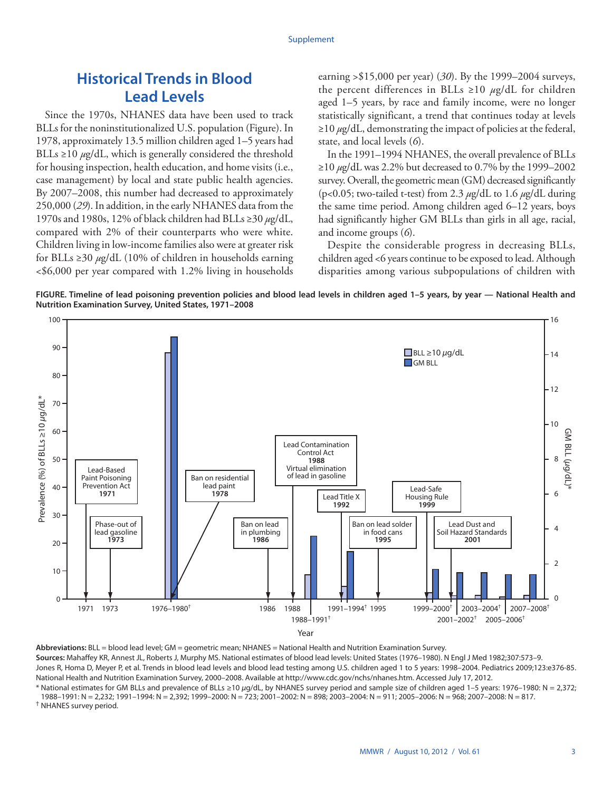# <span id="page-4-0"></span>**Historical Trends in Blood Lead Levels**

Since the 1970s, NHANES data have been used to track BLLs for the noninstitutionalized U.S. population (Figure). In 1978, approximately 13.5 million children aged 1–5 years had BLLs  $\geq$ 10  $\mu$ g/dL, which is generally considered the threshold for housing inspection, health education, and home visits (i.e., case management) by local and state public health agencies. By 2007–2008, this number had decreased to approximately 250,000 (*29*). In addition, in the early NHANES data from the 1970s and 1980s, 12% of black children had BLLs ≥30 *µ*g/dL, compared with 2% of their counterparts who were white. Children living in low-income families also were at greater risk for BLLs ≥30 *µ*g/dL (10% of children in households earning <\$6,000 per year compared with 1.2% living in households

earning >\$15,000 per year) (*30*). By the 1999–2004 surveys, the percent differences in BLLs ≥10 *µ*g/dL for children aged 1–5 years, by race and family income, were no longer statistically significant, a trend that continues today at levels ≥10 *µ*g/dL, demonstrating the impact of policies at the federal, state, and local levels (*6*).

In the 1991–1994 NHANES, the overall prevalence of BLLs ≥10 *µ*g/dL was 2.2% but decreased to 0.7% by the 1999–2002 survey. Overall, the geometric mean (GM) decreased significantly (p<0.05; two-tailed t-test) from 2.3 *µ*g/dL to 1.6 *µ*g/dL during the same time period. Among children aged 6–12 years, boys had significantly higher GM BLLs than girls in all age, racial, and income groups (*6*).

Despite the considerable progress in decreasing BLLs, children aged <6 years continue to be exposed to lead. Although disparities among various subpopulations of children with

**FIGURE. Timeline of lead poisoning prevention policies and blood lead levels in children aged 1–5 years, by year — National Health and Nutrition Examination Survey, United States, 1971–2008**



**Abbreviations:** BLL = blood lead level; GM = geometric mean; NHANES = National Health and Nutrition Examination Survey. **Sources:** Mahaffey KR, Annest JL, Roberts J, Murphy MS. National estimates of blood lead levels: United States (1976–1980). N Engl J Med 1982;307:573–9. Jones R, Homa D, Meyer P, et al. Trends in blood lead levels and blood lead testing among U.S. children aged 1 to 5 years: 1998-2004. Pediatrics 2009;123:e376-85. National Health and Nutrition Examination Survey, 2000–2008. Available at [http://www.cdc.gov/nchs/nhanes.htm.](http://www.cdc.gov/nchs/nhanes.htm) Accessed July 17, 2012. \* National estimates for GM BLLs and prevalence of BLLs ≥10 *μ*g/dL, by NHANES survey period and sample size of children aged 1–5 years: 1976–1980: N = 2,372;

1988–1991: N = 2,232; 1991–1994: N = 2,392; 1999–2000: N = 723; 2001–2002: N = 898; 2003–2004: N = 911; 2005–2006: N = 968; 2007–2008: N = 817. † NHANES survey period.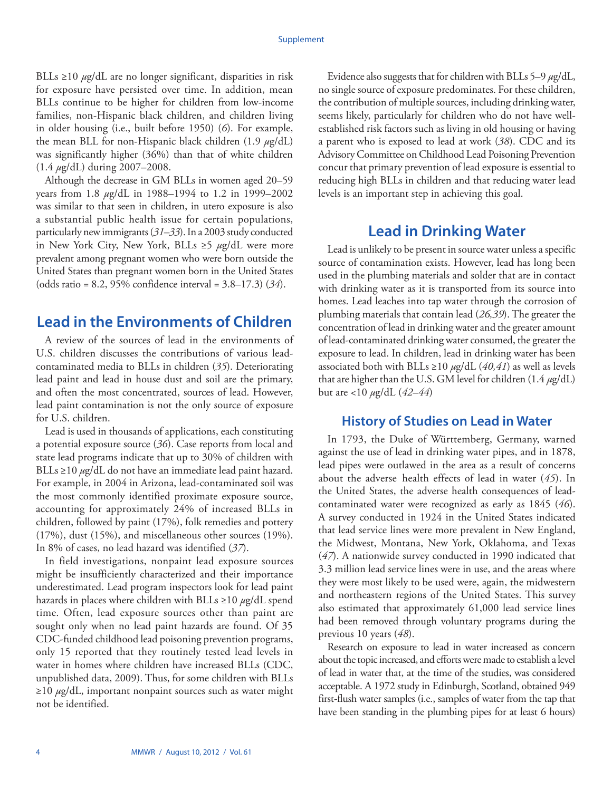<span id="page-5-0"></span>BLLs ≥10 *µ*g/dL are no longer significant, disparities in risk for exposure have persisted over time. In addition, mean BLLs continue to be higher for children from low-income families, non-Hispanic black children, and children living in older housing (i.e., built before 1950) (*6*). For example, the mean BLL for non-Hispanic black children (1.9 *µ*g/dL) was significantly higher (36%) than that of white children (1.4 *µ*g/dL) during 2007–2008.

Although the decrease in GM BLLs in women aged 20–59 years from 1.8 *µ*g/dL in 1988–1994 to 1.2 in 1999–2002 was similar to that seen in children, in utero exposure is also a substantial public health issue for certain populations, particularly new immigrants (*31–33*). In a 2003 study conducted in New York City, New York, BLLs ≥5 *µ*g/dL were more prevalent among pregnant women who were born outside the United States than pregnant women born in the United States (odds ratio = 8.2, 95% confidence interval = 3.8–17.3) (*34*).

# **Lead in the Environments of Children**

A review of the sources of lead in the environments of U.S. children discusses the contributions of various leadcontaminated media to BLLs in children (*35*). Deteriorating lead paint and lead in house dust and soil are the primary, and often the most concentrated, sources of lead. However, lead paint contamination is not the only source of exposure for U.S. children.

Lead is used in thousands of applications, each constituting a potential exposure source (*36*). Case reports from local and state lead programs indicate that up to 30% of children with BLLs ≥10 *µ*g/dL do not have an immediate lead paint hazard. For example, in 2004 in Arizona, lead-contaminated soil was the most commonly identified proximate exposure source, accounting for approximately 24% of increased BLLs in children, followed by paint (17%), folk remedies and pottery (17%), dust (15%), and miscellaneous other sources (19%). In 8% of cases, no lead hazard was identified (*37*).

In field investigations, nonpaint lead exposure sources might be insufficiently characterized and their importance underestimated. Lead program inspectors look for lead paint hazards in places where children with BLLs ≥10 *µ*g/dL spend time. Often, lead exposure sources other than paint are sought only when no lead paint hazards are found. Of 35 CDC-funded childhood lead poisoning prevention programs, only 15 reported that they routinely tested lead levels in water in homes where children have increased BLLs (CDC, unpublished data, 2009). Thus, for some children with BLLs ≥10 *µ*g/dL, important nonpaint sources such as water might not be identified.

Evidence also suggests that for children with BLLs 5–9 *µ*g/dL, no single source of exposure predominates. For these children, the contribution of multiple sources, including drinking water, seems likely, particularly for children who do not have wellestablished risk factors such as living in old housing or having a parent who is exposed to lead at work (*38*). CDC and its Advisory Committee on Childhood Lead Poisoning Prevention concur that primary prevention of lead exposure is essential to reducing high BLLs in children and that reducing water lead levels is an important step in achieving this goal.

## **Lead in Drinking Water**

Lead is unlikely to be present in source water unless a specific source of contamination exists. However, lead has long been used in the plumbing materials and solder that are in contact with drinking water as it is transported from its source into homes. Lead leaches into tap water through the corrosion of plumbing materials that contain lead (*26,39*). The greater the concentration of lead in drinking water and the greater amount of lead-contaminated drinking water consumed, the greater the exposure to lead. In children, lead in drinking water has been associated both with BLLs ≥10 *µ*g/dL (*40,41*) as well as levels that are higher than the U.S. GM level for children (1.4 *µ*g/dL) but are <10 *µ*g/dL (*42–44*)

## **History of Studies on Lead in Water**

In 1793, the Duke of Württemberg, Germany, warned against the use of lead in drinking water pipes, and in 1878, lead pipes were outlawed in the area as a result of concerns about the adverse health effects of lead in water (*45*). In the United States, the adverse health consequences of leadcontaminated water were recognized as early as 1845 (*46*). A survey conducted in 1924 in the United States indicated that lead service lines were more prevalent in New England, the Midwest, Montana, New York, Oklahoma, and Texas (*47*). A nationwide survey conducted in 1990 indicated that 3.3 million lead service lines were in use, and the areas where they were most likely to be used were, again, the midwestern and northeastern regions of the United States. This survey also estimated that approximately 61,000 lead service lines had been removed through voluntary programs during the previous 10 years (*48*).

Research on exposure to lead in water increased as concern about the topic increased, and efforts were made to establish a level of lead in water that, at the time of the studies, was considered acceptable. A 1972 study in Edinburgh, Scotland, obtained 949 first-flush water samples (i.e., samples of water from the tap that have been standing in the plumbing pipes for at least 6 hours)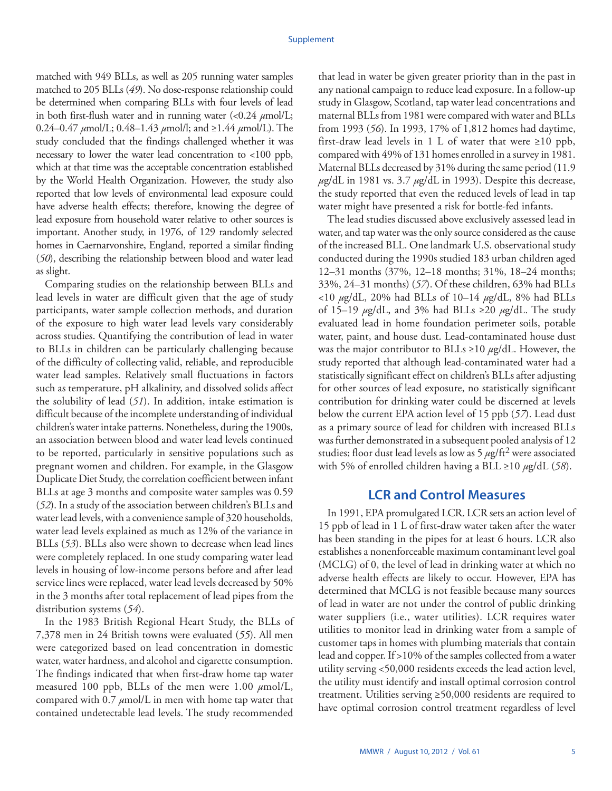matched with 949 BLLs, as well as 205 running water samples matched to 205 BLLs (*49*). No dose-response relationship could be determined when comparing BLLs with four levels of lead in both first-flush water and in running water (<0.24 *µ*mol/L; 0.24–0.47 *µ*mol/L; 0.48–1.43 *µ*mol/l; and ≥1.44 *µ*mol/L). The study concluded that the findings challenged whether it was necessary to lower the water lead concentration to <100 ppb, which at that time was the acceptable concentration established by the World Health Organization. However, the study also reported that low levels of environmental lead exposure could have adverse health effects; therefore, knowing the degree of lead exposure from household water relative to other sources is important. Another study, in 1976, of 129 randomly selected homes in Caernarvonshire, England, reported a similar finding (*50*), describing the relationship between blood and water lead as slight.

Comparing studies on the relationship between BLLs and lead levels in water are difficult given that the age of study participants, water sample collection methods, and duration of the exposure to high water lead levels vary considerably across studies. Quantifying the contribution of lead in water to BLLs in children can be particularly challenging because of the difficulty of collecting valid, reliable, and reproducible water lead samples. Relatively small fluctuations in factors such as temperature, pH alkalinity, and dissolved solids affect the solubility of lead (*51*). In addition, intake estimation is difficult because of the incomplete understanding of individual children's water intake patterns. Nonetheless, during the 1900s, an association between blood and water lead levels continued to be reported, particularly in sensitive populations such as pregnant women and children. For example, in the Glasgow Duplicate Diet Study, the correlation coefficient between infant BLLs at age 3 months and composite water samples was 0.59 (*52*). In a study of the association between children's BLLs and water lead levels, with a convenience sample of 320 households, water lead levels explained as much as 12% of the variance in BLLs (*53*). BLLs also were shown to decrease when lead lines were completely replaced. In one study comparing water lead levels in housing of low-income persons before and after lead service lines were replaced, water lead levels decreased by 50% in the 3 months after total replacement of lead pipes from the distribution systems (*54*).

In the 1983 British Regional Heart Study, the BLLs of 7,378 men in 24 British towns were evaluated (*55*). All men were categorized based on lead concentration in domestic water, water hardness, and alcohol and cigarette consumption. The findings indicated that when first-draw home tap water measured 100 ppb, BLLs of the men were 1.00  $\mu$ mol/L, compared with 0.7 *µ*mol/L in men with home tap water that contained undetectable lead levels. The study recommended

that lead in water be given greater priority than in the past in any national campaign to reduce lead exposure. In a follow-up study in Glasgow, Scotland, tap water lead concentrations and maternal BLLs from 1981 were compared with water and BLLs from 1993 (*56*). In 1993, 17% of 1,812 homes had daytime, first-draw lead levels in 1 L of water that were  $\geq 10$  ppb, compared with 49% of 131 homes enrolled in a survey in 1981. Maternal BLLs decreased by 31% during the same period (11.9 *µ*g/dL in 1981 vs. 3.7 *µ*g/dL in 1993). Despite this decrease, the study reported that even the reduced levels of lead in tap water might have presented a risk for bottle-fed infants.

The lead studies discussed above exclusively assessed lead in water, and tap water was the only source considered as the cause of the increased BLL. One landmark U.S. observational study conducted during the 1990s studied 183 urban children aged 12–31 months (37%, 12–18 months; 31%, 18–24 months; 33%, 24–31 months) (*57*). Of these children, 63% had BLLs <10 *µ*g/dL, 20% had BLLs of 10–14 *µ*g/dL, 8% had BLLs of 15–19 *µ*g/dL, and 3% had BLLs ≥20 *µ*g/dL. The study evaluated lead in home foundation perimeter soils, potable water, paint, and house dust. Lead-contaminated house dust was the major contributor to BLLs ≥10 *µ*g/dL. However, the study reported that although lead-contaminated water had a statistically significant effect on children's BLLs after adjusting for other sources of lead exposure, no statistically significant contribution for drinking water could be discerned at levels below the current EPA action level of 15 ppb (*57*). Lead dust as a primary source of lead for children with increased BLLs was further demonstrated in a subsequent pooled analysis of 12 studies; floor dust lead levels as low as  $5 \mu g / \text{ft}^2$  were associated with 5% of enrolled children having a BLL ≥10 *µ*g/dL (*58*).

## **LCR and Control Measures**

In 1991, EPA promulgated LCR. LCR sets an action level of 15 ppb of lead in 1 L of first-draw water taken after the water has been standing in the pipes for at least 6 hours. LCR also establishes a nonenforceable maximum contaminant level goal (MCLG) of 0, the level of lead in drinking water at which no adverse health effects are likely to occur. However, EPA has determined that MCLG is not feasible because many sources of lead in water are not under the control of public drinking water suppliers (i.e., water utilities). LCR requires water utilities to monitor lead in drinking water from a sample of customer taps in homes with plumbing materials that contain lead and copper. If >10% of the samples collected from a water utility serving <50,000 residents exceeds the lead action level, the utility must identify and install optimal corrosion control treatment. Utilities serving ≥50,000 residents are required to have optimal corrosion control treatment regardless of level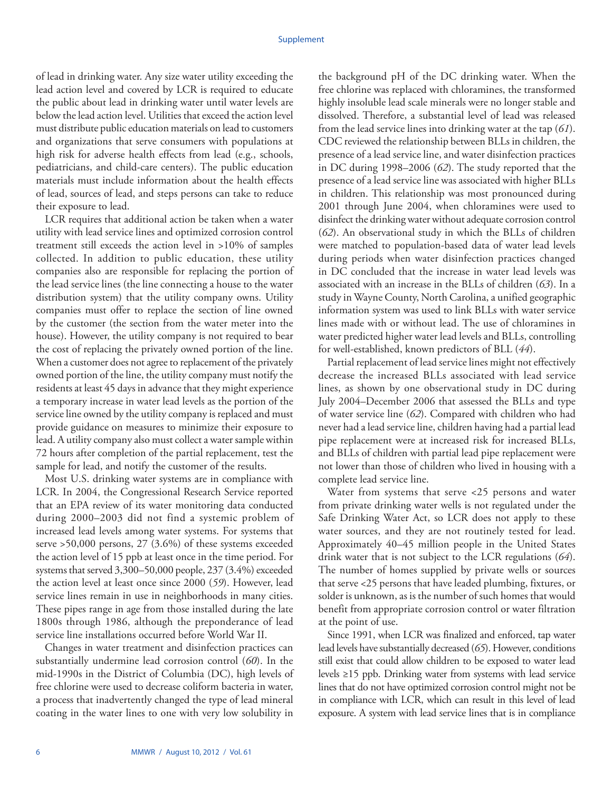of lead in drinking water. Any size water utility exceeding the lead action level and covered by LCR is required to educate the public about lead in drinking water until water levels are below the lead action level. Utilities that exceed the action level must distribute public education materials on lead to customers and organizations that serve consumers with populations at high risk for adverse health effects from lead (e.g., schools, pediatricians, and child-care centers). The public education materials must include information about the health effects of lead, sources of lead, and steps persons can take to reduce their exposure to lead.

LCR requires that additional action be taken when a water utility with lead service lines and optimized corrosion control treatment still exceeds the action level in >10% of samples collected. In addition to public education, these utility companies also are responsible for replacing the portion of the lead service lines (the line connecting a house to the water distribution system) that the utility company owns. Utility companies must offer to replace the section of line owned by the customer (the section from the water meter into the house). However, the utility company is not required to bear the cost of replacing the privately owned portion of the line. When a customer does not agree to replacement of the privately owned portion of the line, the utility company must notify the residents at least 45 days in advance that they might experience a temporary increase in water lead levels as the portion of the service line owned by the utility company is replaced and must provide guidance on measures to minimize their exposure to lead. A utility company also must collect a water sample within 72 hours after completion of the partial replacement, test the sample for lead, and notify the customer of the results.

Most U.S. drinking water systems are in compliance with LCR. In 2004, the Congressional Research Service reported that an EPA review of its water monitoring data conducted during 2000–2003 did not find a systemic problem of increased lead levels among water systems. For systems that serve >50,000 persons, 27 (3.6%) of these systems exceeded the action level of 15 ppb at least once in the time period. For systems that served 3,300–50,000 people, 237 (3.4%) exceeded the action level at least once since 2000 (*59*). However, lead service lines remain in use in neighborhoods in many cities. These pipes range in age from those installed during the late 1800s through 1986, although the preponderance of lead service line installations occurred before World War II.

Changes in water treatment and disinfection practices can substantially undermine lead corrosion control (*60*). In the mid-1990s in the District of Columbia (DC), high levels of free chlorine were used to decrease coliform bacteria in water, a process that inadvertently changed the type of lead mineral coating in the water lines to one with very low solubility in

the background pH of the DC drinking water. When the free chlorine was replaced with chloramines, the transformed highly insoluble lead scale minerals were no longer stable and dissolved. Therefore, a substantial level of lead was released from the lead service lines into drinking water at the tap (*61*). CDC reviewed the relationship between BLLs in children, the presence of a lead service line, and water disinfection practices in DC during 1998–2006 (*62*). The study reported that the presence of a lead service line was associated with higher BLLs in children. This relationship was most pronounced during 2001 through June 2004, when chloramines were used to disinfect the drinking water without adequate corrosion control (*62*). An observational study in which the BLLs of children were matched to population-based data of water lead levels during periods when water disinfection practices changed in DC concluded that the increase in water lead levels was associated with an increase in the BLLs of children (*63*). In a study in Wayne County, North Carolina, a unified geographic information system was used to link BLLs with water service lines made with or without lead. The use of chloramines in water predicted higher water lead levels and BLLs, controlling for well-established, known predictors of BLL (*44*).

Partial replacement of lead service lines might not effectively decrease the increased BLLs associated with lead service lines, as shown by one observational study in DC during July 2004–December 2006 that assessed the BLLs and type of water service line (*62*). Compared with children who had never had a lead service line, children having had a partial lead pipe replacement were at increased risk for increased BLLs, and BLLs of children with partial lead pipe replacement were not lower than those of children who lived in housing with a complete lead service line.

Water from systems that serve <25 persons and water from private drinking water wells is not regulated under the Safe Drinking Water Act, so LCR does not apply to these water sources, and they are not routinely tested for lead. Approximately 40–45 million people in the United States drink water that is not subject to the LCR regulations (*64*). The number of homes supplied by private wells or sources that serve <25 persons that have leaded plumbing, fixtures, or solder is unknown, as is the number of such homes that would benefit from appropriate corrosion control or water filtration at the point of use.

Since 1991, when LCR was finalized and enforced, tap water lead levels have substantially decreased (*65*). However, conditions still exist that could allow children to be exposed to water lead levels ≥15 ppb. Drinking water from systems with lead service lines that do not have optimized corrosion control might not be in compliance with LCR, which can result in this level of lead exposure. A system with lead service lines that is in compliance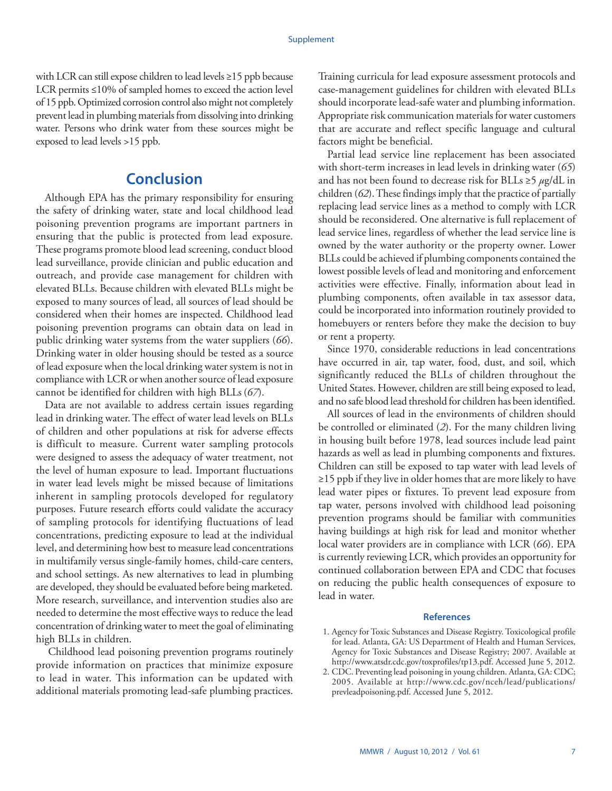<span id="page-8-0"></span>with LCR can still expose children to lead levels ≥15 ppb because LCR permits ≤10% of sampled homes to exceed the action level of 15 ppb. Optimized corrosion control also might not completely prevent lead in plumbing materials from dissolving into drinking water. Persons who drink water from these sources might be exposed to lead levels >15 ppb.

# **Conclusion**

Although EPA has the primary responsibility for ensuring the safety of drinking water, state and local childhood lead poisoning prevention programs are important partners in ensuring that the public is protected from lead exposure. These programs promote blood lead screening, conduct blood lead surveillance, provide clinician and public education and outreach, and provide case management for children with elevated BLLs. Because children with elevated BLLs might be exposed to many sources of lead, all sources of lead should be considered when their homes are inspected. Childhood lead poisoning prevention programs can obtain data on lead in public drinking water systems from the water suppliers (*66*). Drinking water in older housing should be tested as a source of lead exposure when the local drinking water system is not in compliance with LCR or when another source of lead exposure cannot be identified for children with high BLLs (*67*).

Data are not available to address certain issues regarding lead in drinking water. The effect of water lead levels on BLLs of children and other populations at risk for adverse effects is difficult to measure. Current water sampling protocols were designed to assess the adequacy of water treatment, not the level of human exposure to lead. Important fluctuations in water lead levels might be missed because of limitations inherent in sampling protocols developed for regulatory purposes. Future research efforts could validate the accuracy of sampling protocols for identifying fluctuations of lead concentrations, predicting exposure to lead at the individual level, and determining how best to measure lead concentrations in multifamily versus single-family homes, child-care centers, and school settings. As new alternatives to lead in plumbing are developed, they should be evaluated before being marketed. More research, surveillance, and intervention studies also are needed to determine the most effective ways to reduce the lead concentration of drinking water to meet the goal of eliminating high BLLs in children.

 Childhood lead poisoning prevention programs routinely provide information on practices that minimize exposure to lead in water. This information can be updated with additional materials promoting lead-safe plumbing practices.

Training curricula for lead exposure assessment protocols and case-management guidelines for children with elevated BLLs should incorporate lead-safe water and plumbing information. Appropriate risk communication materials for water customers that are accurate and reflect specific language and cultural factors might be beneficial.

Partial lead service line replacement has been associated with short-term increases in lead levels in drinking water (*65*) and has not been found to decrease risk for BLLs ≥5 *µ*g/dL in children (*62*). These findings imply that the practice of partially replacing lead service lines as a method to comply with LCR should be reconsidered. One alternative is full replacement of lead service lines, regardless of whether the lead service line is owned by the water authority or the property owner. Lower BLLs could be achieved if plumbing components contained the lowest possible levels of lead and monitoring and enforcement activities were effective. Finally, information about lead in plumbing components, often available in tax assessor data, could be incorporated into information routinely provided to homebuyers or renters before they make the decision to buy or rent a property.

Since 1970, considerable reductions in lead concentrations have occurred in air, tap water, food, dust, and soil, which significantly reduced the BLLs of children throughout the United States. However, children are still being exposed to lead, and no safe blood lead threshold for children has been identified.

All sources of lead in the environments of children should be controlled or eliminated (*2*). For the many children living in housing built before 1978, lead sources include lead paint hazards as well as lead in plumbing components and fixtures. Children can still be exposed to tap water with lead levels of ≥15 ppb if they live in older homes that are more likely to have lead water pipes or fixtures. To prevent lead exposure from tap water, persons involved with childhood lead poisoning prevention programs should be familiar with communities having buildings at high risk for lead and monitor whether local water providers are in compliance with LCR (*66*). EPA is currently reviewing LCR, which provides an opportunity for continued collaboration between EPA and CDC that focuses on reducing the public health consequences of exposure to lead in water.

#### **References**

- 1. Agency for Toxic Substances and Disease Registry. Toxicological profile for lead. Atlanta, GA: US Department of Health and Human Services, Agency for Toxic Substances and Disease Registry; 2007. Available at [http://www.atsdr.cdc.gov/toxprofiles/tp13.pdf.](http://www.atsdr.cdc.gov/toxprofiles/tp13.pdf) Accessed June 5, 2012.
- 2. CDC. Preventing lead poisoning in young children. Atlanta, GA: CDC; 2005. Available at [http://www.cdc.gov/nceh/lead/publications/](http://www.cdc.gov/nceh/lead/publications/prevleadpoisoning.pdf) [prevleadpoisoning.pdf](http://www.cdc.gov/nceh/lead/publications/prevleadpoisoning.pdf). Accessed June 5, 2012.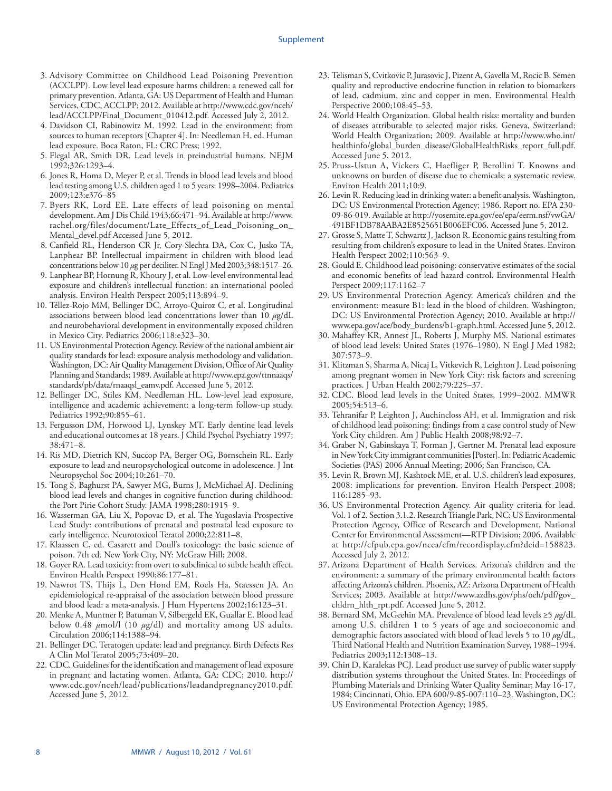#### Supplement

- 3. Advisory Committee on Childhood Lead Poisoning Prevention (ACCLPP). Low level lead exposure harms children: a renewed call for primary prevention. Atlanta, GA: US Department of Health and Human Services, CDC, ACCLPP; 2012. Available at [http://www.cdc.gov/nceh/](http://www.cdc.gov/nceh/lead/ACCLPP/Final_Document_010412.pdf) [lead/ACCLPP/Final\\_Document\\_010412.pdf](http://www.cdc.gov/nceh/lead/ACCLPP/Final_Document_010412.pdf). Accessed July 2, 2012.
- 4. Davidson CI, Rabinowitz M. 1992. Lead in the environment: from sources to human receptors [Chapter 4]. In: Needleman H, ed. Human lead exposure. Boca Raton, FL: CRC Press; 1992.
- 5. Flegal AR, Smith DR. Lead levels in preindustrial humans. NEJM 1992;326:1293–4.
- 6. Jones R, Homa D, Meyer P, et al. Trends in blood lead levels and blood lead testing among U.S. children aged 1 to 5 years: 1998–2004. Pediatrics 2009;123:e376–85
- 7. Byers RK, Lord EE. Late effects of lead poisoning on mental development. Am J Dis Child 1943;66:471–94. Available at [http://www.](http://www.rachel.org/files/document/Late_Effects_of_Lead_Poisoning_on_Mental_devel.pdf) [rachel.org/files/document/Late\\_Effects\\_of\\_Lead\\_Poisoning\\_on\\_](http://www.rachel.org/files/document/Late_Effects_of_Lead_Poisoning_on_Mental_devel.pdf) [Mental\\_devel.pdf](http://www.rachel.org/files/document/Late_Effects_of_Lead_Poisoning_on_Mental_devel.pdf) Accessed June 5, 2012.
- 8. Canfield RL, Henderson CR Jr, Cory-Slechta DA, Cox C, Jusko TA, Lanphear BP. Intellectual impairment in children with blood lead concentrations below 10 *µ*g per deciliter. N Engl J Med 2003;348:1517–26.
- 9. Lanphear BP, Hornung R, Khoury J, et al. Low-level environmental lead exposure and children's intellectual function: an international pooled analysis. Environ Health Perspect 2005;113:894–9.
- 10. Téllez-Rojo MM, Bellinger DC, Arroyo-Quiroz C, et al. Longitudinal associations between blood lead concentrations lower than 10 *µ*g/dL and neurobehavioral development in environmentally exposed children in Mexico City. Pediatrics 2006;118:e323–30.
- 11. US Environmental Protection Agency. Review of the national ambient air quality standards for lead: exposure analysis methodology and validation. Washington, DC: Air Quality Management Division, Office of Air Quality Planning and Standards; 1989. Available at [http://www.epa.gov/ttnnaaqs/](http://www.epa.gov/ttnnaaqs/standards/pb/data/rnaaqsl_eamv.pdf) [standards/pb/data/rnaaqsl\\_eamv.pdf.](http://www.epa.gov/ttnnaaqs/standards/pb/data/rnaaqsl_eamv.pdf) Accessed June 5, 2012.
- 12. Bellinger DC, Stiles KM, Needleman HL. Low-level lead exposure, intelligence and academic achievement: a long-term follow-up study. Pediatrics 1992;90:855–61.
- 13. Fergusson DM, Horwood LJ, Lynskey MT. Early dentine lead levels and educational outcomes at 18 years. J Child Psychol Psychiatry 1997; 38:471–8.
- 14. Ris MD, Dietrich KN, Succop PA, Berger OG, Bornschein RL. Early exposure to lead and neuropsychological outcome in adolescence. J Int Neuropsychol Soc 2004;10:261–70.
- 15. Tong S, Baghurst PA, Sawyer MG, Burns J, McMichael AJ. Declining blood lead levels and changes in cognitive function during childhood: the Port Pirie Cohort Study. JAMA 1998;280:1915–9.
- 16. Wasserman GA, Liu X, Popovac D, et al. The Yugoslavia Prospective Lead Study: contributions of prenatal and postnatal lead exposure to early intelligence. Neurotoxicol Teratol 2000;22:811–8.
- 17. Klaassen C, ed. Casarett and Doull's toxicology: the basic science of poison. 7th ed. New York City, NY: McGraw Hill; 2008.
- 18. Goyer RA. Lead toxicity: from overt to subclinical to subtle health effect. Environ Health Perspect 1990;86:177–81.
- 19. Nawrot TS, Thijs L, Den Hond EM, Roels Ha, Staessen JA. An epidemiological re-appraisal of the association between blood pressure and blood lead: a meta-analysis. J Hum Hypertens 2002;16:123–31.
- 20. Menke A, Muntner P, Batuman V, Silbergeld EK, Guallar E. Blood lead below 0.48 *µ*mol/l (10 *µ*g/dl) and mortality among US adults. Circulation 2006;114:1388–94.
- 21. Bellinger DC. Teratogen update: lead and pregnancy. Birth Defects Res A Clin Mol Teratol 2005;73:409–20.
- 22. CDC. Guidelines for the identification and management of lead exposure in pregnant and lactating women. Atlanta, GA: CDC; 2010. [http://](http://www.cdc.gov/nceh/lead/publications/leadandpregnancy2010.pdf) [www.cdc.gov/nceh/lead/publications/leadandpregnancy2010.pdf](http://www.cdc.gov/nceh/lead/publications/leadandpregnancy2010.pdf). Accessed June 5, 2012.
- 23. Telisman S, Cvitkovic P, Jurasovic J, Pizent A, Gavella M, Rocic B. Semen quality and reproductive endocrine function in relation to biomarkers of lead, cadmium, zinc and copper in men. Environmental Health Perspective 2000;108:45–53.
- 24. World Health Organization. Global health risks: mortality and burden of diseases attributable to selected major risks. Geneva, Switzerland: World Health Organization; 2009. Available at [http://www.who.int/](http://www.who.int/healthinfo/global_burden_disease/GlobalHealthRisks_report_full.pdf) [healthinfo/global\\_burden\\_disease/GlobalHealthRisks\\_report\\_full.pdf.](http://www.who.int/healthinfo/global_burden_disease/GlobalHealthRisks_report_full.pdf) Accessed June 5, 2012.
- 25. Pruss-Ustun A, Vickers C, Haefliger P, Berollini T. Knowns and unknowns on burden of disease due to chemicals: a systematic review. Environ Health 2011;10:9.
- 26. Levin R. Reducing lead in drinking water: a benefit analysis. Washington, DC: US Environmental Protection Agency; 1986. Report no. EPA 230- 09-86-019. Available at [http://yosemite.epa.gov/ee/epa/eerm.nsf/vwGA/](http://yosemite.epa.gov/ee/epa/eerm.nsf/vwGA/491BF1DB78AABA2E8525651B006EFC06) [491BF1DB78AABA2E8525651B006EFC06.](http://yosemite.epa.gov/ee/epa/eerm.nsf/vwGA/491BF1DB78AABA2E8525651B006EFC06) Accessed June 5, 2012.
- 27. Grosse S, Matte T, Schwartz J, Jackson R. Economic gains resulting from resulting from children's exposure to lead in the United States. Environ Health Perspect 2002;110:563–9.
- 28. Gould E. Childhood lead poisoning: conservative estimates of the social and economic benefits of lead hazard control. Environmental Health Perspect 2009;117:1162–7
- 29. US Environmental Protection Agency. America's children and the environment: measure B1: lead in the blood of children. Washington, DC: US Environmental Protection Agency; 2010. Available at [http://](http://www.epa.gov/ace/body_burdens/b1-graph.html) [www.epa.gov/ace/body\\_burdens/b1-graph.html](http://www.epa.gov/ace/body_burdens/b1-graph.html). Accessed June 5, 2012.
- 30. Mahaffey KR, Annest JL, Roberts J, Murphy MS. National estimates of blood lead levels: United States (1976–1980). N Engl J Med 1982; 307:573–9.
- 31. Klitzman S, Sharma A, Nicaj L, Vitkevich R, Leighton J. Lead poisoning among pregnant women in New York City: risk factors and screening practices. J Urban Health 2002;79:225–37.
- 32. CDC. Blood lead levels in the United States, 1999–2002. MMWR 2005;54:513–6.
- 33. Tehranifar P, Leighton J, Auchincloss AH, et al. Immigration and risk of childhood lead poisoning: findings from a case control study of New York City children. Am J Public Health 2008;98:92–7.
- 34. Graber N, Gabinskaya T, Forman J, Gertner M. Prenatal lead exposure in New York City immigrant communities [Poster]. In: Pediatric Academic Societies (PAS) 2006 Annual Meeting; 2006; San Francisco, CA.
- 35. Levin R, Brown MJ, Kashtock ME, et al. U.S. children's lead exposures, 2008: implications for prevention. Environ Health Perspect 2008; 116:1285–93.
- 36. US Environmental Protection Agency. Air quality criteria for lead. Vol. 1 of 2. Section 3.1.2. Research Triangle Park, NC: US Environmental Protection Agency, Office of Research and Development, National Center for Environmental Assessment—RTP Division; 2006. Available at [http://cfpub.epa.gov/ncea/cfm/recordisplay.cfm?deid=158823.](http://cfpub.epa.gov/ncea/cfm/recordisplay.cfm?deid=158823) Accessed July 2, 2012.
- 37. Arizona Department of Health Services. Arizona's children and the environment: a summary of the primary environmental health factors affecting Arizona's children. Phoenix, AZ: Arizona Department of Health Services; 2003. Available at [http://www.azdhs.gov/phs/oeh/pdf/gov\\_](http://www.azdhs.gov/phs/oeh/pdf/gov_chldrn_hlth_rpt.pdf) [chldrn\\_hlth\\_rpt.pdf](http://www.azdhs.gov/phs/oeh/pdf/gov_chldrn_hlth_rpt.pdf). Accessed June 5, 2012.
- 38. Bernard SM, McGeehin MA. Prevalence of blood lead levels ≥5 *µ*g/dL among U.S. children 1 to 5 years of age and socioeconomic and demographic factors associated with blood of lead levels 5 to 10 *µ*g/dL, Third National Health and Nutrition Examination Survey, 1988–1994. Pediatrics 2003;112:1308–13.
- 39. Chin D, Karalekas PCJ. Lead product use survey of public water supply distribution systems throughout the United States. In: Proceedings of Plumbing Materials and Drinking Water Quality Seminar; May 16-17, 1984; Cincinnati, Ohio. EPA 600/9-85-007:110–23. Washington, DC: US Environmental Protection Agency; 1985.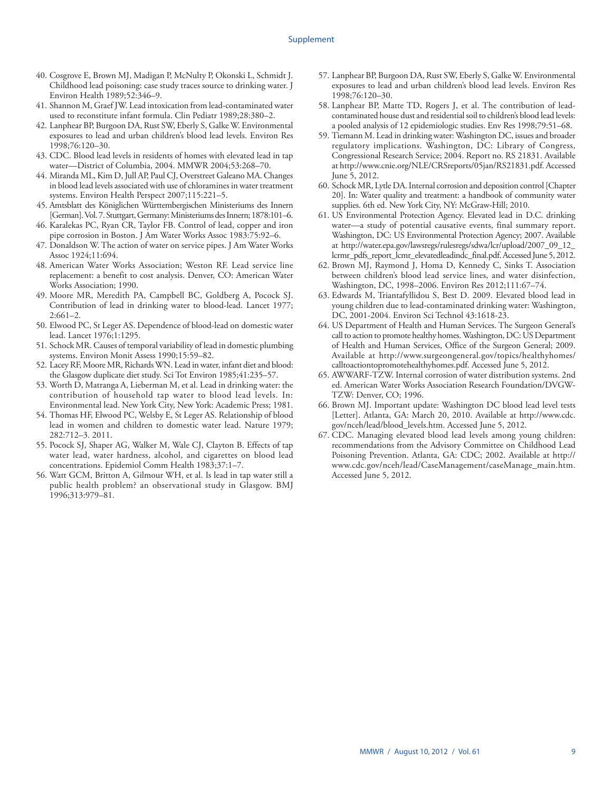- 40. Cosgrove E, Brown MJ, Madigan P, McNulty P, Okonski L, Schmidt J. Childhood lead poisoning: case study traces source to drinking water. J Environ Health 1989;52:346–9.
- 41. Shannon M, Graef JW. Lead intoxication from lead-contaminated water used to reconstitute infant formula. Clin Pediatr 1989;28:380–2.
- 42. Lanphear BP, Burgoon DA, Rust SW, Eberly S, Galke W. Environmental exposures to lead and urban children's blood lead levels. Environ Res 1998;76:120–30.
- 43. CDC. Blood lead levels in residents of homes with elevated lead in tap water—District of Columbia, 2004. MMWR 2004;53:268–70.
- 44. Miranda ML, Kim D, Jull AP, Paul CJ, Overstreet Galeano MA. Changes in blood lead levels associated with use of chloramines in water treatment systems. Environ Health Perspect 2007;115:221–5.
- 45. Amtsblatt des Königlichen Württembergischen Ministeriums des Innern [German]. Vol. 7. Stuttgart, Germany: Ministeriums des Innern; 1878:101–6.
- 46. Karalekas PC, Ryan CR, Taylor FB. Control of lead, copper and iron pipe corrosion in Boston. J Am Water Works Assoc 1983:75:92–6.
- 47. Donaldson W. The action of water on service pipes. J Am Water Works Assoc 1924;11:694.
- 48. American Water Works Association; Weston RF. Lead service line replacement: a benefit to cost analysis. Denver, CO: American Water Works Association; 1990.
- 49. Moore MR, Meredith PA, Campbell BC, Goldberg A, Pocock SJ. Contribution of lead in drinking water to blood-lead. Lancet 1977; 2:661–2.
- 50. Elwood PC, St Leger AS. Dependence of blood-lead on domestic water lead. Lancet 1976;1:1295.
- 51. Schock MR. Causes of temporal variability of lead in domestic plumbing systems. Environ Monit Assess 1990;15:59–82.
- 52. Lacey RF, Moore MR, Richards WN. Lead in water, infant diet and blood: the Glasgow duplicate diet study. Sci Tot Environ 1985;41:235–57.
- 53. Worth D, Matranga A, Lieberman M, et al. Lead in drinking water: the contribution of household tap water to blood lead levels. In: Environmental lead. New York City, New York: Academic Press; 1981.
- 54. Thomas HF, Elwood PC, Welsby E, St Leger AS. Relationship of blood lead in women and children to domestic water lead. Nature 1979; 282:712–3. 2011.
- 55. Pocock SJ, Shaper AG, Walker M, Wale CJ, Clayton B. Effects of tap water lead, water hardness, alcohol, and cigarettes on blood lead concentrations. Epidemiol Comm Health 1983;37:1–7.
- 56. Watt GCM, Britton A, Gilmour WH, et al. Is lead in tap water still a public health problem? an observational study in Glasgow. BMJ 1996;313:979–81.
- 57. Lanphear BP, Burgoon DA, Rust SW, Eberly S, Galke W. Environmental exposures to lead and urban children's blood lead levels. Environ Res 1998;76:120–30.
- 58. Lanphear BP, Matte TD, Rogers J, et al. The contribution of leadcontaminated house dust and residential soil to children's blood lead levels: a pooled analysis of 12 epidemiologic studies. Env Res 1998;79:51–68.
- 59. Tiemann M. Lead in drinking water: Washington DC, issues and broader regulatory implications. Washington, DC: Library of Congress, Congressional Research Service; 2004. Report no. RS 21831. Available at<http://www.cnie.org/NLE/CRSreports/05jan/RS21831.pdf>. Accessed June 5, 2012.
- 60. Schock MR, Lytle DA. Internal corrosion and deposition control [Chapter 20]. In: Water quality and treatment: a handbook of community water supplies. 6th ed. New York City, NY: McGraw-Hill; 2010.
- 61. US Environmental Protection Agency. Elevated lead in D.C. drinking water—a study of potential causative events, final summary report. Washington, DC: US Environmental Protection Agency; 2007. Available at [http://water.epa.gov/lawsregs/rulesregs/sdwa/lcr/upload/2007\\_09\\_12\\_](http://water.epa.gov/lawsregs/rulesregs/sdwa/lcr/upload/2007_09_12_lcrmr_pdfs_report_lcmr_elevatedleadindc_final.pdf) [lcrmr\\_pdfs\\_report\\_lcmr\\_elevatedleadindc\\_final.pdf.](http://water.epa.gov/lawsregs/rulesregs/sdwa/lcr/upload/2007_09_12_lcrmr_pdfs_report_lcmr_elevatedleadindc_final.pdf) Accessed June 5, 2012.
- 62. Brown MJ, Raymond J, Homa D, Kennedy C, Sinks T. Association between children's blood lead service lines, and water disinfection, Washington, DC, 1998–2006. Environ Res 2012;111:67–74.
- 63. Edwards M, Triantafyllidou S, Best D. 2009. Elevated blood lead in young children due to lead-contaminated drinking water: Washington, DC, 2001-2004. Environ Sci Technol 43:1618-23.
- 64. US Department of Health and Human Services. The Surgeon General's call to action to promote healthy homes. Washington, DC: US Department of Health and Human Services, Office of the Surgeon General; 2009. Available at [http://www.surgeongeneral.gov/topics/healthyhomes/](http://www.surgeongeneral.gov/topics/healthyhomes/calltoactiontopromotehealthyhomes.pdf) [calltoactiontopromotehealthyhomes.pdf.](http://www.surgeongeneral.gov/topics/healthyhomes/calltoactiontopromotehealthyhomes.pdf) Accessed June 5, 2012.
- 65. AWWARF-TZW. Internal corrosion of water distribution systems. 2nd ed. American Water Works Association Research Foundation/DVGW-TZW: Denver, CO; 1996.
- 66. Brown MJ. Important update: Washington DC blood lead level tests [Letter]. Atlanta, GA: March 20, 2010. Available at [http://www.cdc.](http://www.cdc.gov/nceh/lead/blood_levels.htm) [gov/nceh/lead/blood\\_levels.htm](http://www.cdc.gov/nceh/lead/blood_levels.htm). Accessed June 5, 2012.
- 67. CDC. Managing elevated blood lead levels among young children: recommendations from the Advisory Committee on Childhood Lead Poisoning Prevention. Atlanta, GA: CDC; 2002. Available at [http://](http://www.cdc.gov/nceh/lead/CaseManagement/caseManage_main.htm) [www.cdc.gov/nceh/lead/CaseManagement/caseManage\\_main.htm.](http://www.cdc.gov/nceh/lead/CaseManagement/caseManage_main.htm) Accessed June 5, 2012.